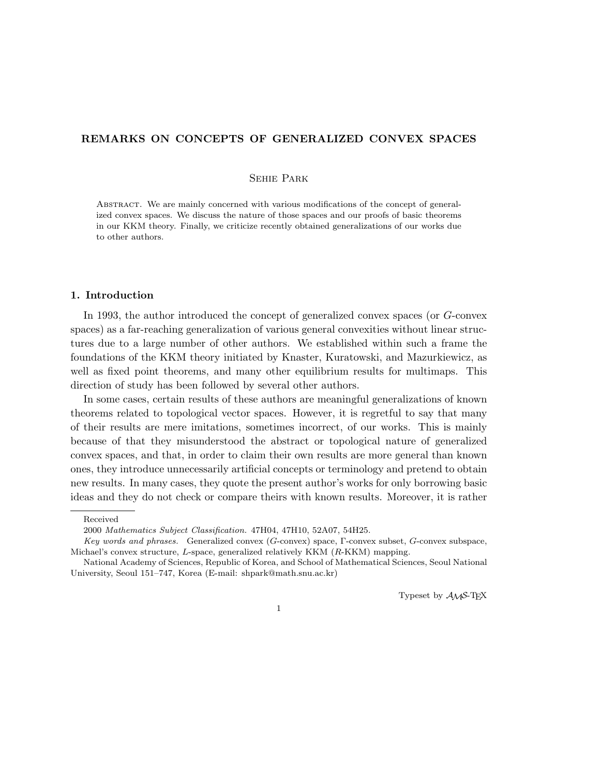# REMARKS ON CONCEPTS OF GENERALIZED CONVEX SPACES

# Sehie Park

Abstract. We are mainly concerned with various modifications of the concept of generalized convex spaces. We discuss the nature of those spaces and our proofs of basic theorems in our KKM theory. Finally, we criticize recently obtained generalizations of our works due to other authors.

# 1. Introduction

In 1993, the author introduced the concept of generalized convex spaces (or G-convex spaces) as a far-reaching generalization of various general convexities without linear structures due to a large number of other authors. We established within such a frame the foundations of the KKM theory initiated by Knaster, Kuratowski, and Mazurkiewicz, as well as fixed point theorems, and many other equilibrium results for multimaps. This direction of study has been followed by several other authors.

In some cases, certain results of these authors are meaningful generalizations of known theorems related to topological vector spaces. However, it is regretful to say that many of their results are mere imitations, sometimes incorrect, of our works. This is mainly because of that they misunderstood the abstract or topological nature of generalized convex spaces, and that, in order to claim their own results are more general than known ones, they introduce unnecessarily artificial concepts or terminology and pretend to obtain new results. In many cases, they quote the present author's works for only borrowing basic ideas and they do not check or compare theirs with known results. Moreover, it is rather

Typeset by  $A_{\mathcal{M}}S$ -TEX

Received

<sup>2000</sup> Mathematics Subject Classification. 47H04, 47H10, 52A07, 54H25.

Key words and phrases. Generalized convex (G-convex) space, Γ-convex subset, G-convex subspace, Michael's convex structure, L-space, generalized relatively KKM (R-KKM) mapping.

National Academy of Sciences, Republic of Korea, and School of Mathematical Sciences, Seoul National University, Seoul 151–747, Korea (E-mail: shpark@math.snu.ac.kr)

<sup>1</sup>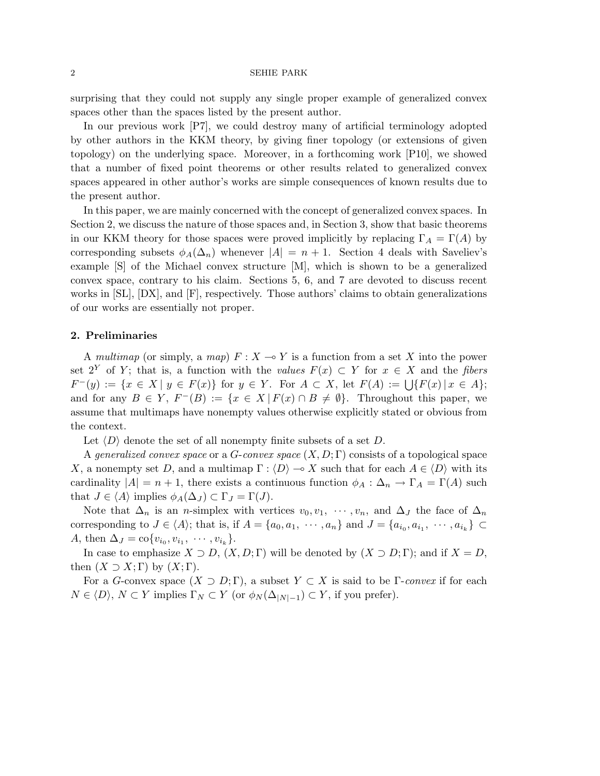surprising that they could not supply any single proper example of generalized convex spaces other than the spaces listed by the present author.

In our previous work [P7], we could destroy many of artificial terminology adopted by other authors in the KKM theory, by giving finer topology (or extensions of given topology) on the underlying space. Moreover, in a forthcoming work [P10], we showed that a number of fixed point theorems or other results related to generalized convex spaces appeared in other author's works are simple consequences of known results due to the present author.

In this paper, we are mainly concerned with the concept of generalized convex spaces. In Section 2, we discuss the nature of those spaces and, in Section 3, show that basic theorems in our KKM theory for those spaces were proved implicitly by replacing  $\Gamma_A = \Gamma(A)$  by corresponding subsets  $\phi_A(\Delta_n)$  whenever  $|A| = n + 1$ . Section 4 deals with Saveliev's example [S] of the Michael convex structure [M], which is shown to be a generalized convex space, contrary to his claim. Sections 5, 6, and 7 are devoted to discuss recent works in [SL], [DX], and [F], respectively. Those authors' claims to obtain generalizations of our works are essentially not proper.

### 2. Preliminaries

A multimap (or simply, a map)  $F: X \to Y$  is a function from a set X into the power set  $2^Y$  of Y; that is, a function with the values  $F(x) \subset Y$  for  $x \in X$  and the fibers  $F^-(y) := \{x \in X \mid y \in F(x)\}$  for  $y \in Y$ . For  $A \subset X$ , let  $F(A) := \bigcup \{F(x) \mid x \in A\}$ ; and for any  $B \in Y$ ,  $F^{-}(B) := \{x \in X \mid F(x) \cap B \neq \emptyset\}$ . Throughout this paper, we assume that multimaps have nonempty values otherwise explicitly stated or obvious from the context.

Let  $\langle D \rangle$  denote the set of all nonempty finite subsets of a set D.

A generalized convex space or a  $G$ -convex space  $(X, D; \Gamma)$  consists of a topological space X, a nonempty set D, and a multimap  $\Gamma : \langle D \rangle \to X$  such that for each  $A \in \langle D \rangle$  with its cardinality  $|A| = n + 1$ , there exists a continuous function  $\phi_A : \Delta_n \to \Gamma_A = \Gamma(A)$  such that  $J \in \langle A \rangle$  implies  $\phi_A(\Delta_J) \subset \Gamma_J = \Gamma(J)$ .

Note that  $\Delta_n$  is an *n*-simplex with vertices  $v_0, v_1, \cdots, v_n$ , and  $\Delta_j$  the face of  $\Delta_n$ corresponding to  $J \in \langle A \rangle$ ; that is, if  $A = \{a_0, a_1, \dots, a_n\}$  and  $J = \{a_{i_0}, a_{i_1}, \dots, a_{i_k}\}\subset$ A, then  $\Delta_J = \text{co}\{v_{i_0}, v_{i_1}, \dots, v_{i_k}\}.$ 

In case to emphasize  $X \supset D$ ,  $(X, D; \Gamma)$  will be denoted by  $(X \supset D; \Gamma)$ ; and if  $X = D$ , then  $(X \supset X; \Gamma)$  by  $(X; \Gamma)$ .

For a G-convex space  $(X \supset D; \Gamma)$ , a subset  $Y \subset X$  is said to be  $\Gamma$ -convex if for each  $N \in \langle D \rangle$ ,  $N \subset Y$  implies  $\Gamma_N \subset Y$  (or  $\phi_N(\Delta_{|N|-1}) \subset Y$ , if you prefer).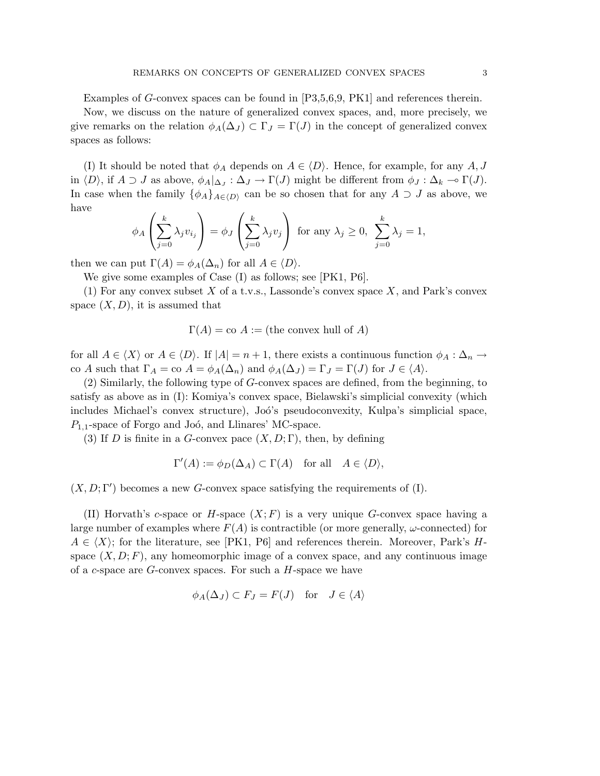Examples of G-convex spaces can be found in [P3,5,6,9, PK1] and references therein.

Now, we discuss on the nature of generalized convex spaces, and, more precisely, we give remarks on the relation  $\phi_A(\Delta_J) \subset \Gamma_J = \Gamma(J)$  in the concept of generalized convex spaces as follows:

(I) It should be noted that  $\phi_A$  depends on  $A \in \langle D \rangle$ . Hence, for example, for any A, J in  $\langle D \rangle$ , if  $A \supset J$  as above,  $\phi_A|_{\Delta_J} : \Delta_J \to \Gamma(J)$  might be different from  $\phi_J : \Delta_k \to \Gamma(J)$ . In case when the family  $\{\phi_A\}_{A\in \langle D\rangle}$  can be so chosen that for any  $A \supset J$  as above, we have  $\overline{\phantom{a}}$  $\mathbf{r}$  $\overline{\phantom{a}}$  $\mathbf{r}$ 

$$
\phi_A\left(\sum_{j=0}^k \lambda_j v_{i_j}\right) = \phi_J\left(\sum_{j=0}^k \lambda_j v_j\right) \text{ for any } \lambda_j \ge 0, \sum_{j=0}^k \lambda_j = 1,
$$

then we can put  $\Gamma(A) = \phi_A(\Delta_n)$  for all  $A \in \langle D \rangle$ .

We give some examples of Case (I) as follows; see [PK1, P6].

(1) For any convex subset  $X$  of a t.v.s., Lassonde's convex space  $X$ , and Park's convex space  $(X, D)$ , it is assumed that

$$
\Gamma(A) = \text{co } A :=
$$
 (the convex hull of A)

for all  $A \in \langle X \rangle$  or  $A \in \langle D \rangle$ . If  $|A| = n + 1$ , there exists a continuous function  $\phi_A : \Delta_n \to \Delta_n$ co A such that  $\Gamma_A = \text{co } A = \phi_A(\Delta_n)$  and  $\phi_A(\Delta_J) = \Gamma_J = \Gamma(J)$  for  $J \in \langle A \rangle$ .

(2) Similarly, the following type of G-convex spaces are defined, from the beginning, to satisfy as above as in (I): Komiya's convex space, Bielawski's simplicial convexity (which includes Michael's convex structure), Joó's pseudoconvexity, Kulpa's simplicial space,  $P_{1,1}$ -space of Forgo and Joó, and Llinares' MC-space.

(3) If D is finite in a G-convex pace  $(X, D; \Gamma)$ , then, by defining

$$
\Gamma'(A) := \phi_D(\Delta_A) \subset \Gamma(A) \quad \text{for all} \quad A \in \langle D \rangle,
$$

 $(X, D; \Gamma')$  becomes a new G-convex space satisfying the requirements of (I).

(II) Horvath's c-space or H-space  $(X; F)$  is a very unique G-convex space having a large number of examples where  $F(A)$  is contractible (or more generally,  $\omega$ -connected) for  $A \in \langle X \rangle$ ; for the literature, see [PK1, P6] and references therein. Moreover, Park's Hspace  $(X, D; F)$ , any homeomorphic image of a convex space, and any continuous image of a c-space are  $G$ -convex spaces. For such a  $H$ -space we have

$$
\phi_A(\Delta_J) \subset F_J = F(J) \quad \text{for} \quad J \in \langle A \rangle
$$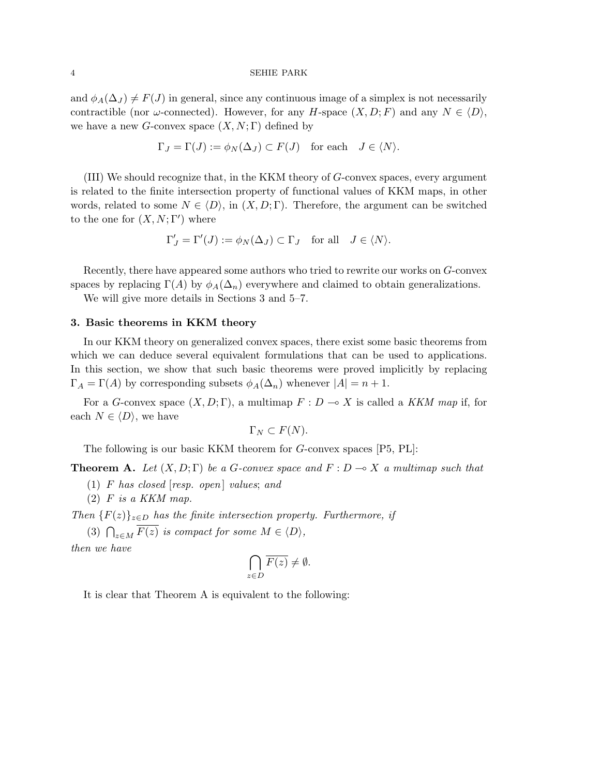and  $\phi_A(\Delta_J) \neq F(J)$  in general, since any continuous image of a simplex is not necessarily contractible (nor  $\omega$ -connected). However, for any H-space  $(X, D; F)$  and any  $N \in \langle D \rangle$ , we have a new G-convex space  $(X, N; \Gamma)$  defined by

$$
\Gamma_J = \Gamma(J) := \phi_N(\Delta_J) \subset F(J) \quad \text{for each} \quad J \in \langle N \rangle.
$$

(III) We should recognize that, in the KKM theory of G-convex spaces, every argument is related to the finite intersection property of functional values of KKM maps, in other words, related to some  $N \in \langle D \rangle$ , in  $(X, D; \Gamma)$ . Therefore, the argument can be switched to the one for  $(X, N; \Gamma')$  where

$$
\Gamma'_J = \Gamma'(J) := \phi_N(\Delta_J) \subset \Gamma_J \quad \text{for all} \quad J \in \langle N \rangle.
$$

Recently, there have appeared some authors who tried to rewrite our works on G-convex spaces by replacing  $\Gamma(A)$  by  $\phi_A(\Delta_n)$  everywhere and claimed to obtain generalizations.

We will give more details in Sections 3 and 5–7.

## 3. Basic theorems in KKM theory

In our KKM theory on generalized convex spaces, there exist some basic theorems from which we can deduce several equivalent formulations that can be used to applications. In this section, we show that such basic theorems were proved implicitly by replacing  $\Gamma_A = \Gamma(A)$  by corresponding subsets  $\phi_A(\Delta_n)$  whenever  $|A| = n + 1$ .

For a G-convex space  $(X, D; \Gamma)$ , a multimap  $F: D \to X$  is called a KKM map if, for each  $N \in \langle D \rangle$ , we have

$$
\Gamma_N \subset F(N).
$$

The following is our basic KKM theorem for G-convex spaces [P5, PL]:

**Theorem A.** Let  $(X, D; \Gamma)$  be a G-convex space and  $F: D \to X$  a multimap such that

- (1)  $F$  has closed [resp. open] values; and
- $(2)$  F is a KKM map.

Then  ${F(z)}_{z\in D}$  has the finite intersection property. Furthermore, if

(3)  $\bigcap_{z \in M} \overline{F(z)}$  is compact for some  $M \in \langle D \rangle$ ,

then we have

$$
\bigcap_{z \in D} \overline{F(z)} \neq \emptyset.
$$

It is clear that Theorem A is equivalent to the following: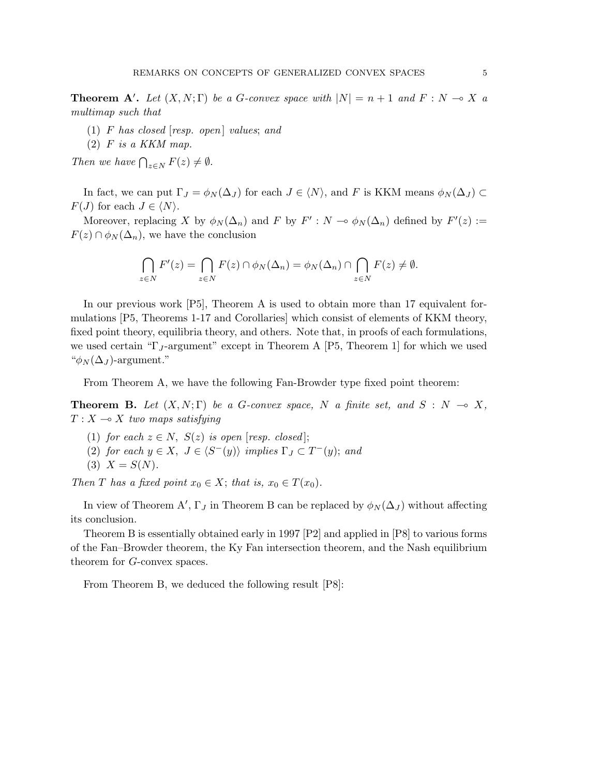**Theorem A'.** Let  $(X, N; \Gamma)$  be a G-convex space with  $|N| = n + 1$  and  $F: N \to X$  a multimap such that

- (1) F has closed  $[resp. open]$  values; and
- $(2)$  F is a KKM map.

Then we have  $\bigcap_{z \in N} F(z) \neq \emptyset$ .

In fact, we can put  $\Gamma_J = \phi_N(\Delta_J)$  for each  $J \in \langle N \rangle$ , and F is KKM means  $\phi_N(\Delta_J) \subset$  $F(J)$  for each  $J \in \langle N \rangle$ .

Moreover, replacing X by  $\phi_N(\Delta_n)$  and F by  $F': N \to \phi_N(\Delta_n)$  defined by  $F'(z) :=$  $F(z) \cap \phi_N(\Delta_n)$ , we have the conclusion

$$
\bigcap_{z \in N} F'(z) = \bigcap_{z \in N} F(z) \cap \phi_N(\Delta_n) = \phi_N(\Delta_n) \cap \bigcap_{z \in N} F(z) \neq \emptyset.
$$

In our previous work [P5], Theorem A is used to obtain more than 17 equivalent formulations [P5, Theorems 1-17 and Corollaries] which consist of elements of KKM theory, fixed point theory, equilibria theory, and others. Note that, in proofs of each formulations, we used certain " $\Gamma_J$ -argument" except in Theorem A [P5, Theorem 1] for which we used " $\phi_N(\Delta_J)$ -argument."

From Theorem A, we have the following Fan-Browder type fixed point theorem:

**Theorem B.** Let  $(X, N; \Gamma)$  be a G-convex space, N a finite set, and  $S : N \to X$ ,  $T : X \longrightarrow X$  two maps satisfying

- (1) for each  $z \in N$ ,  $S(z)$  is open [resp. closed];
- (2) for each  $y \in X$ ,  $J \in \langle S^-(y) \rangle$  implies  $\Gamma_J \subset T^-(y)$ ; and
- (3)  $X = S(N)$ .

Then T has a fixed point  $x_0 \in X$ ; that is,  $x_0 \in T(x_0)$ .

In view of Theorem A',  $\Gamma_J$  in Theorem B can be replaced by  $\phi_N(\Delta_J)$  without affecting its conclusion.

Theorem B is essentially obtained early in 1997 [P2] and applied in [P8] to various forms of the Fan–Browder theorem, the Ky Fan intersection theorem, and the Nash equilibrium theorem for G-convex spaces.

From Theorem B, we deduced the following result [P8]: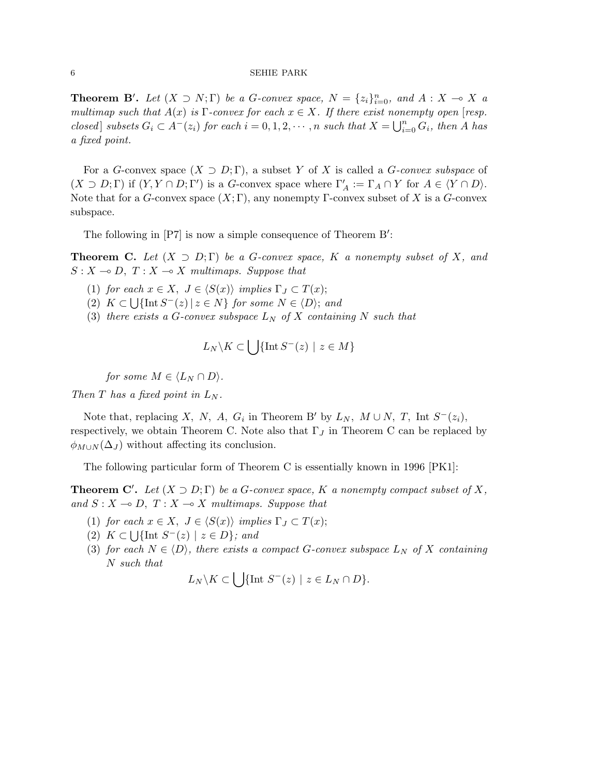**Theorem B'.** Let  $(X \supset N; \Gamma)$  be a G-convex space,  $N = \{z_i\}_{i=0}^n$ , and  $A: X \to X$  a multimap such that  $A(x)$  is  $\Gamma$ -convex for each  $x \in X$ . If there exist nonempty open [resp. closed] subsets  $G_i \subset A^-(z_i)$  for each  $i = 0, 1, 2, \cdots, n$  such that  $X = \bigcup_{i=1}^n X_i$  $\sum_{i=0}^n G_i$ , then A has a fixed point.

For a G-convex space  $(X \supset D; \Gamma)$ , a subset Y of X is called a G-convex subspace of  $(X \supset D; \Gamma)$  if  $(Y, Y \cap D; \Gamma')$  is a G-convex space where  $\Gamma'_A := \Gamma_A \cap Y$  for  $A \in \langle Y \cap D \rangle$ . Note that for a G-convex space  $(X; \Gamma)$ , any nonempty  $\Gamma$ -convex subset of X is a G-convex subspace.

The following in  $[ P7 ]$  is now a simple consequence of Theorem  $B'$ :

**Theorem C.** Let  $(X \supset D; \Gamma)$  be a G-convex space, K a nonempty subset of X, and  $S : X \longrightarrow D, T : X \longrightarrow X$  multimaps. Suppose that

- (1) for each  $x \in X$ ,  $J \in \langle S(x) \rangle$  implies  $\Gamma_J \subset T(x)$ ;
- (2)  $K \subset \bigcup \{ \text{Int } S^{-}(z) \mid z \in N \}$  for some  $N \in \langle D \rangle$ ; and
- (3) there exists a G-convex subspace  $L_N$  of X containing N such that

$$
L_N \backslash K \subset \bigcup \{ \text{Int } S^-(z) \mid z \in M \}
$$

for some  $M \in \langle L_N \cap D \rangle$ .

Then T has a fixed point in  $L_N$ .

Note that, replacing X, N, A,  $G_i$  in Theorem B' by  $L_N$ ,  $M \cup N$ , T, Int  $S^-(z_i)$ , respectively, we obtain Theorem C. Note also that  $\Gamma_J$  in Theorem C can be replaced by  $\phi_{M\cup N}(\Delta_J)$  without affecting its conclusion.

The following particular form of Theorem C is essentially known in 1996 [PK1]:

**Theorem C'.** Let  $(X \supset D; \Gamma)$  be a G-convex space, K a nonempty compact subset of X, and  $S : X \to D$ ,  $T : X \to X$  multimaps. Suppose that

- (1) for each  $x \in X$ ,  $J \in \langle S(x) \rangle$  implies  $\Gamma_J \subset T(x)$ ;
- (2)  $K \subset \bigcup \{ \text{Int } S^{-}(z) \mid z \in D \};$  and
- (3) for each  $N \in \langle D \rangle$ , there exists a compact G-convex subspace  $L_N$  of X containing N such that  $\overline{a}$

$$
L_N \backslash K \subset \bigcup \{ \text{Int } S^-(z) \mid z \in L_N \cap D \}.
$$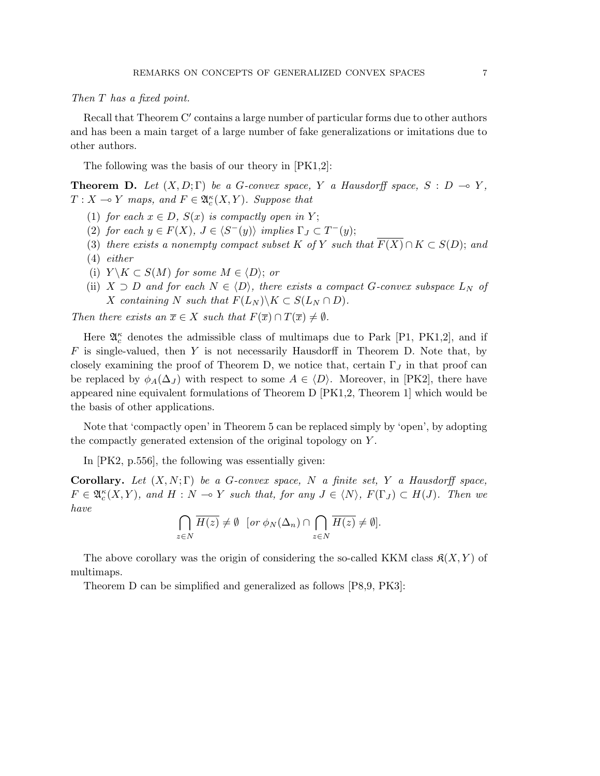Then T has a fixed point.

Recall that Theorem  $C'$  contains a large number of particular forms due to other authors and has been a main target of a large number of fake generalizations or imitations due to other authors.

The following was the basis of our theory in [PK1,2]:

**Theorem D.** Let  $(X, D; \Gamma)$  be a G-convex space, Y a Hausdorff space, S : D  $\rightarrow$  Y,  $T: X \longrightarrow Y$  maps, and  $F \in \mathfrak{A}_{c}^{\kappa}(X, Y)$ . Suppose that

- (1) for each  $x \in D$ ,  $S(x)$  is compactly open in Y;
- (2) for each  $y \in F(X)$ ,  $J \in \langle S^-(y) \rangle$  implies  $\Gamma_J \subset T^-(y)$ ;
- (3) there exists a nonempty compact subset K of Y such that  $\overline{F(X)} \cap K \subset S(D)$ ; and (4) either
- (i)  $Y \backslash K \subset S(M)$  for some  $M \in \langle D \rangle$ ; or
- (ii)  $X \supset D$  and for each  $N \in \langle D \rangle$ , there exists a compact G-convex subspace  $L_N$  of X containing N such that  $F(L_N) \backslash K \subset S(L_N \cap D)$ .

Then there exists an  $\overline{x} \in X$  such that  $F(\overline{x}) \cap T(\overline{x}) \neq \emptyset$ .

Here  $\mathfrak{A}_{c}^{\kappa}$  denotes the admissible class of multimaps due to Park [P1, PK1,2], and if  $F$  is single-valued, then Y is not necessarily Hausdorff in Theorem D. Note that, by closely examining the proof of Theorem D, we notice that, certain  $\Gamma_J$  in that proof can be replaced by  $\phi_A(\Delta_J)$  with respect to some  $A \in \langle D \rangle$ . Moreover, in [PK2], there have appeared nine equivalent formulations of Theorem D [PK1,2, Theorem 1] which would be the basis of other applications.

Note that 'compactly open' in Theorem 5 can be replaced simply by 'open', by adopting the compactly generated extension of the original topology on Y .

In [PK2, p.556], the following was essentially given:

**Corollary.** Let  $(X, N; \Gamma)$  be a G-convex space, N a finite set, Y a Hausdorff space,  $F \in \mathfrak{A}_{c}^{\kappa}(X, Y)$ , and  $H : N \to Y$  such that, for any  $J \in \langle N \rangle$ ,  $F(\Gamma_J) \subset H(J)$ . Then we have  $\sim$  $\sim$ 

$$
\bigcap_{z \in N} \overline{H(z)} \neq \emptyset \quad [or \ \phi_N(\Delta_n) \cap \bigcap_{z \in N} \overline{H(z)} \neq \emptyset].
$$

The above corollary was the origin of considering the so-called KKM class  $\mathfrak{K}(X, Y)$  of multimaps.

Theorem D can be simplified and generalized as follows [P8,9, PK3]: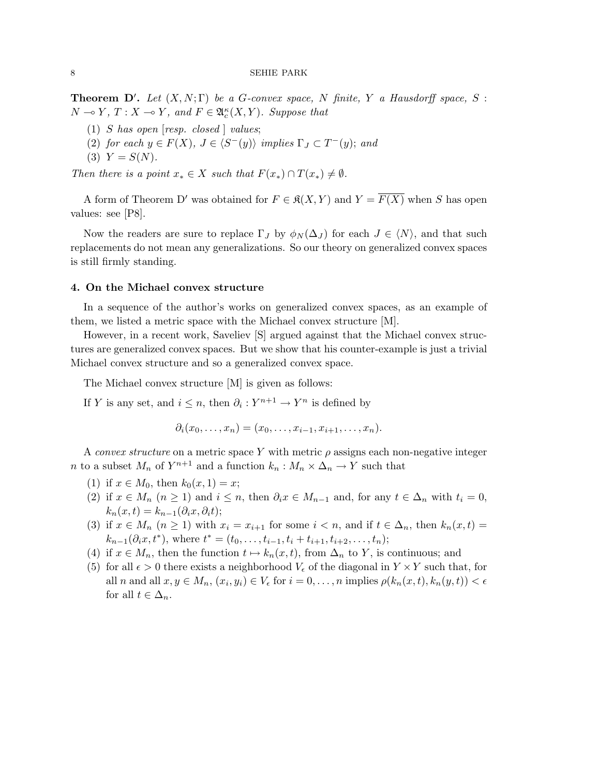**Theorem D'.** Let  $(X, N; \Gamma)$  be a G-convex space, N finite, Y a Hausdorff space, S :  $N \multimap Y, T : X \multimap Y, \text{ and } F \in \mathfrak{A}_{c}^{\kappa}(X, Y).$  Suppose that

- (1) S has open  $[resp. closed]$  values;
- (2) for each  $y \in F(X)$ ,  $J \in \langle S^-(y) \rangle$  implies  $\Gamma_J \subset T^-(y)$ ; and
- (3)  $Y = S(N)$ .

Then there is a point  $x_* \in X$  such that  $F(x_*) \cap T(x_*) \neq \emptyset$ .

A form of Theorem D' was obtained for  $F \in \mathfrak{K}(X,Y)$  and  $Y = \overline{F(X)}$  when S has open values: see [P8].

Now the readers are sure to replace  $\Gamma_J$  by  $\phi_N(\Delta_J)$  for each  $J \in \langle N \rangle$ , and that such replacements do not mean any generalizations. So our theory on generalized convex spaces is still firmly standing.

### 4. On the Michael convex structure

In a sequence of the author's works on generalized convex spaces, as an example of them, we listed a metric space with the Michael convex structure [M].

However, in a recent work, Saveliev [S] argued against that the Michael convex structures are generalized convex spaces. But we show that his counter-example is just a trivial Michael convex structure and so a generalized convex space.

The Michael convex structure [M] is given as follows:

If Y is any set, and  $i \leq n$ , then  $\partial_i : Y^{n+1} \to Y^n$  is defined by

$$
\partial_i(x_0,\ldots,x_n)=(x_0,\ldots,x_{i-1},x_{i+1},\ldots,x_n).
$$

A convex structure on a metric space Y with metric  $\rho$  assigns each non-negative integer *n* to a subset  $M_n$  of  $Y^{n+1}$  and a function  $k_n : M_n \times \Delta_n \to Y$  such that

- (1) if  $x \in M_0$ , then  $k_0(x, 1) = x$ ;
- (2) if  $x \in M_n$   $(n \ge 1)$  and  $i \le n$ , then  $\partial_i x \in M_{n-1}$  and, for any  $t \in \Delta_n$  with  $t_i = 0$ ,  $k_n(x,t) = k_{n-1}(\partial_i x, \partial_i t);$
- (3) if  $x \in M_n$   $(n \ge 1)$  with  $x_i = x_{i+1}$  for some  $i < n$ , and if  $t \in \Delta_n$ , then  $k_n(x,t) =$  $k_{n-1}(\partial_i x, t^*)$ , where  $t^* = (t_0, \ldots, t_{i-1}, t_i + t_{i+1}, t_{i+2}, \ldots, t_n);$
- (4) if  $x \in M_n$ , then the function  $t \mapsto k_n(x, t)$ , from  $\Delta_n$  to Y, is continuous; and
- (5) for all  $\epsilon > 0$  there exists a neighborhood  $V_{\epsilon}$  of the diagonal in  $Y \times Y$  such that, for all *n* and all  $x, y \in M_n$ ,  $(x_i, y_i) \in V_\epsilon$  for  $i = 0, \ldots, n$  implies  $\rho(k_n(x, t), k_n(y, t)) < \epsilon$ for all  $t \in \Delta_n$ .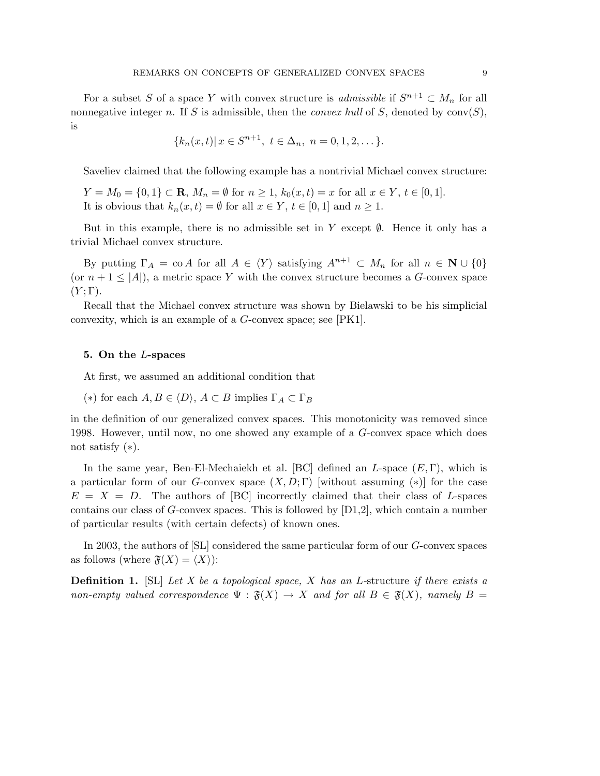For a subset S of a space Y with convex structure is *admissible* if  $S^{n+1} \subset M_n$  for all nonnegative integer n. If S is admissible, then the *convex hull* of S, denoted by  $conv(S)$ , is

$$
\{k_n(x,t)|\,x\in S^{n+1},\ t\in\Delta_n,\ n=0,1,2,\dots\}.
$$

Saveliev claimed that the following example has a nontrivial Michael convex structure:

$$
Y = M_0 = \{0, 1\} \subset \mathbf{R}, M_n = \emptyset \text{ for } n \ge 1, k_0(x, t) = x \text{ for all } x \in Y, t \in [0, 1].
$$
  
It is obvious that  $k_n(x, t) = \emptyset$  for all  $x \in Y, t \in [0, 1]$  and  $n \ge 1$ .

But in this example, there is no admissible set in Y except  $\emptyset$ . Hence it only has a trivial Michael convex structure.

By putting  $\Gamma_A = \text{co } A$  for all  $A \in \langle Y \rangle$  satisfying  $A^{n+1} \subset M_n$  for all  $n \in \mathbb{N} \cup \{0\}$ (or  $n + 1 \leq |A|$ ), a metric space Y with the convex structure becomes a G-convex space  $(Y; \Gamma)$ .

Recall that the Michael convex structure was shown by Bielawski to be his simplicial convexity, which is an example of a G-convex space; see [PK1].

### 5. On the L-spaces

At first, we assumed an additional condition that

(\*) for each  $A, B \in \langle D \rangle$ ,  $A \subset B$  implies  $\Gamma_A \subset \Gamma_B$ 

in the definition of our generalized convex spaces. This monotonicity was removed since 1998. However, until now, no one showed any example of a G-convex space which does not satisfy  $(*).$ 

In the same year, Ben-El-Mechaiekh et al. [BC] defined an  $L$ -space  $(E, \Gamma)$ , which is a particular form of our G-convex space  $(X, D; \Gamma)$  [without assuming (\*)] for the case  $E = X = D$ . The authors of [BC] incorrectly claimed that their class of L-spaces contains our class of G-convex spaces. This is followed by [D1,2], which contain a number of particular results (with certain defects) of known ones.

In 2003, the authors of [SL] considered the same particular form of our G-convex spaces as follows (where  $\mathfrak{F}(X) = \langle X \rangle$ ):

**Definition 1.** [SL] Let X be a topological space, X has an L-structure if there exists a non-empty valued correspondence  $\Psi : \mathfrak{F}(X) \to X$  and for all  $B \in \mathfrak{F}(X)$ , namely  $B =$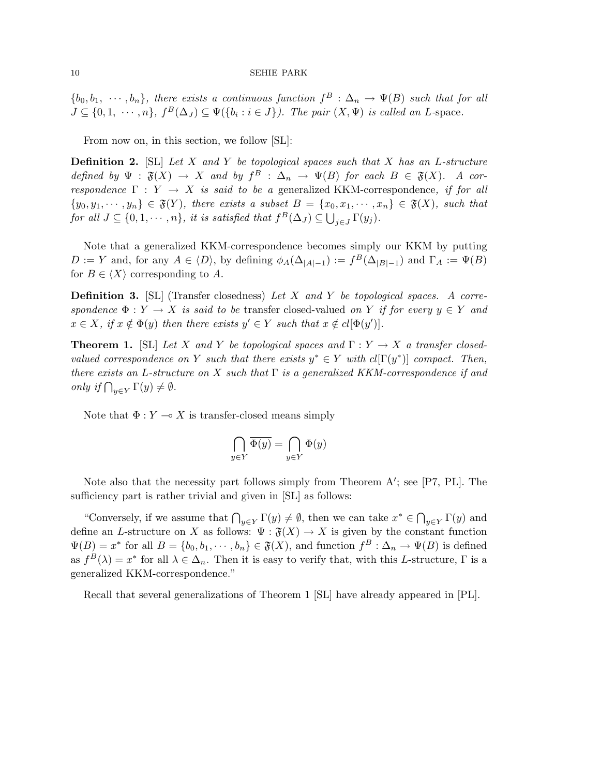$\{b_0, b_1, \cdots, b_n\}$ , there exists a continuous function  $f^B : \Delta_n \to \Psi(B)$  such that for all  $J \subseteq \{0, 1, \cdots, n\}, f^B(\Delta_J) \subseteq \Psi(\{b_i : i \in J\})$ . The pair  $(X, \Psi)$  is called an L-space.

From now on, in this section, we follow [SL]:

**Definition 2.** [SL] Let X and Y be topological spaces such that X has an L-structure defined by  $\Psi : \mathfrak{F}(X) \to X$  and by  $f^B : \Delta_n \to \Psi(B)$  for each  $B \in \mathfrak{F}(X)$ . A correspondence  $\Gamma : Y \to X$  is said to be a generalized KKM-correspondence, if for all  $\{y_0, y_1, \dots, y_n\} \in \mathfrak{F}(Y)$ , there exists a subset  $B = \{x_0, x_1, \dots, x_n\} \in \mathfrak{F}(X)$ , such that for all  $J \subseteq \{0, 1, \dots, n\}$ , it is satisfied that  $f^B(\Delta_J) \subseteq \bigcup_{j \in J} \Gamma(y_j)$ .

Note that a generalized KKM-correspondence becomes simply our KKM by putting  $D := Y$  and, for any  $A \in \langle D \rangle$ , by defining  $\phi_A(\Delta_{|A|-1}) := f^B(\Delta_{|B|-1})$  and  $\Gamma_A := \Psi(B)$ for  $B \in \langle X \rangle$  corresponding to A.

**Definition 3.** [SL] (Transfer closedness) Let X and Y be topological spaces. A correspondence  $\Phi: Y \to X$  is said to be transfer closed-valued on Y if for every  $y \in Y$  and  $x \in X$ , if  $x \notin \Phi(y)$  then there exists  $y' \in Y$  such that  $x \notin cl[\Phi(y')]$ .

**Theorem 1.** [SL] Let X and Y be topological spaces and  $\Gamma: Y \to X$  a transfer closedvalued correspondence on Y such that there exists  $y^* \in Y$  with  $cl[\Gamma(y^*)]$  compact. Then, there exists an L-structure on X such that  $\Gamma$  is a generalized KKM-correspondence if and only if  $\bigcap_{y\in Y} \Gamma(y) \neq \emptyset$ .

Note that  $\Phi: Y \multimap X$  is transfer-closed means simply

$$
\bigcap_{y \in Y} \overline{\Phi(y)} = \bigcap_{y \in Y} \Phi(y)
$$

Note also that the necessity part follows simply from Theorem  $A'$ ; see [P7, PL]. The sufficiency part is rather trivial and given in [SL] as follows:

"Conversely, if we assume that  $\bigcap_{y\in Y} \Gamma(y) \neq \emptyset$ , then we can take  $x^* \in \bigcap$  $y \in Y$   $\Gamma(y)$  and define an L-structure on X as follows:  $\Psi : \mathfrak{F}(X) \to X$  is given by the constant function  $\Psi(B) = x^*$  for all  $B = \{b_0, b_1, \dots, b_n\} \in \mathfrak{F}(X)$ , and function  $f^B : \Delta_n \to \Psi(B)$  is defined as  $f^{B}(\lambda) = x^*$  for all  $\lambda \in \Delta_n$ . Then it is easy to verify that, with this L-structure,  $\Gamma$  is a generalized KKM-correspondence."

Recall that several generalizations of Theorem 1 [SL] have already appeared in [PL].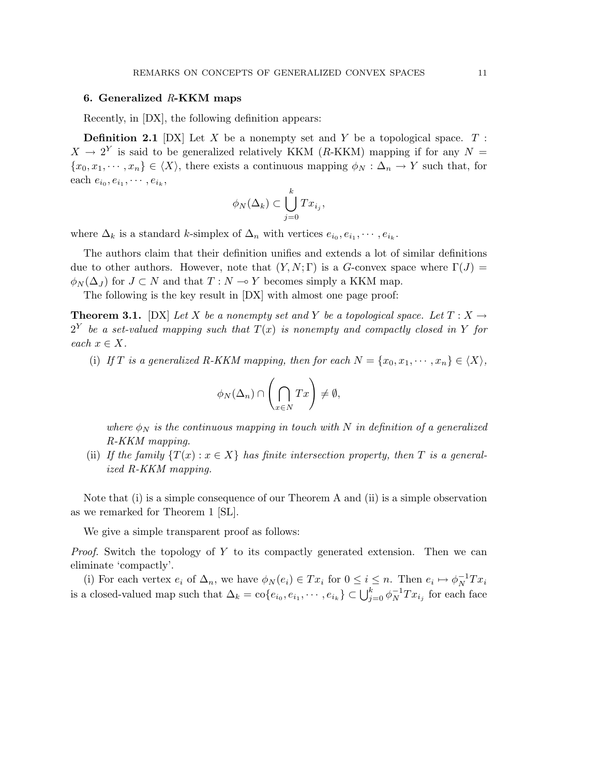## 6. Generalized  $R$ -KKM maps

Recently, in [DX], the following definition appears:

**Definition 2.1** [DX] Let X be a nonempty set and Y be a topological space.  $T$ :  $X \to 2^Y$  is said to be generalized relatively KKM (R-KKM) mapping if for any  $N =$  ${x_0, x_1, \dots, x_n} \in \langle X \rangle$ , there exists a continuous mapping  $\phi_N : \Delta_n \to Y$  such that, for each  $e_{i_0}, e_{i_1}, \cdots, e_{i_k},$ 

$$
\phi_N(\Delta_k) \subset \bigcup_{j=0}^k Tx_{i_j},
$$

where  $\Delta_k$  is a standard k-simplex of  $\Delta_n$  with vertices  $e_{i_0}, e_{i_1}, \cdots, e_{i_k}$ .

The authors claim that their definition unifies and extends a lot of similar definitions due to other authors. However, note that  $(Y, N; \Gamma)$  is a G-convex space where  $\Gamma(J)$  =  $\phi_N(\Delta_J)$  for  $J \subset N$  and that  $T : N \to Y$  becomes simply a KKM map.

The following is the key result in [DX] with almost one page proof:

**Theorem 3.1.** [DX] Let X be a nonempty set and Y be a topological space. Let  $T : X \to Y$  $2^Y$  be a set-valued mapping such that  $T(x)$  is nonempty and compactly closed in Y for each  $x \in X$ .

(i) If T is a generalized R-KKM mapping, then for each  $N = \{x_0, x_1, \dots, x_n\} \in \langle X \rangle$ ,

$$
\phi_N(\Delta_n) \cap \left(\bigcap_{x \in N} Tx\right) \neq \emptyset,
$$

where  $\phi_N$  is the continuous mapping in touch with N in definition of a generalized R-KKM mapping.

(ii) If the family  $\{T(x): x \in X\}$  has finite intersection property, then T is a generalized R-KKM mapping.

Note that (i) is a simple consequence of our Theorem A and (ii) is a simple observation as we remarked for Theorem 1 [SL].

We give a simple transparent proof as follows:

*Proof.* Switch the topology of Y to its compactly generated extension. Then we can eliminate 'compactly'.

(i) For each vertex  $e_i$  of  $\Delta_n$ , we have  $\phi_N(e_i) \in Tx_i$  for  $0 \leq i \leq n$ . Then  $e_i \mapsto \phi_N^{-1}Tx_i$ is a closed-valued map such that  $\Delta_k = \text{co}\{e_{i_0}, e_{i_1}, \dots, e_{i_k}\} \subset \bigcup_{j=0}^k \phi_N^{-1} Tx_{i_j}$  for each face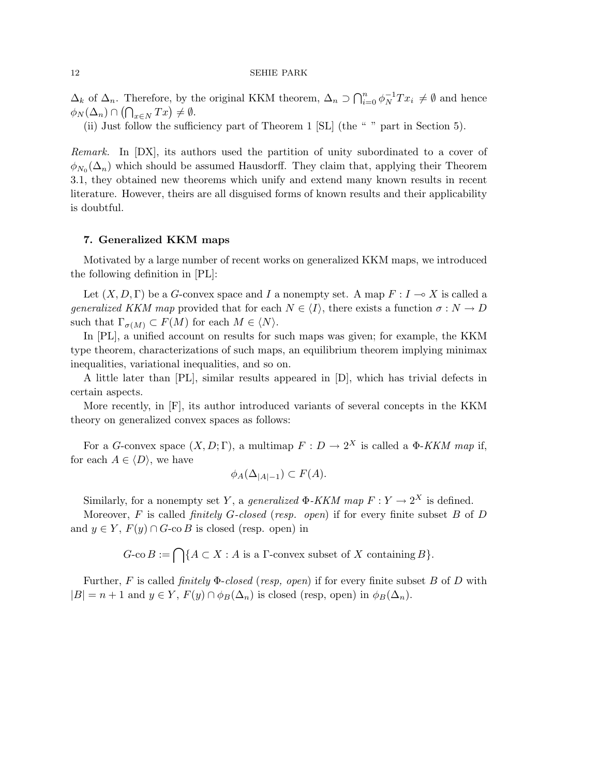$\Delta_k$  of  $\Delta_n$ . Therefore, by the original KKM theorem,  $\Delta_n \supset \bigcap_{i=1}^n$ Therefore, by the original KKM theorem,  $\Delta_n \supset \bigcap_{i=0}^n \phi_N^{-1} Tx_i \neq \emptyset$  and hence  $\Delta_k$  or  $\Delta_n$ . Therefore, by using  $\phi_N(\Delta_n) \cap (\bigcap_{x \in N} Tx) \neq \emptyset$ .

(ii) Just follow the sufficiency part of Theorem 1 [SL] (the " " part in Section 5).

Remark. In [DX], its authors used the partition of unity subordinated to a cover of  $\phi_{N_0}(\Delta_n)$  which should be assumed Hausdorff. They claim that, applying their Theorem 3.1, they obtained new theorems which unify and extend many known results in recent literature. However, theirs are all disguised forms of known results and their applicability is doubtful.

## 7. Generalized KKM maps

Motivated by a large number of recent works on generalized KKM maps, we introduced the following definition in [PL]:

Let  $(X, D, \Gamma)$  be a G-convex space and I a nonempty set. A map  $F: I \to X$  is called a generalized KKM map provided that for each  $N \in \langle I \rangle$ , there exists a function  $\sigma : N \to D$ such that  $\Gamma_{\sigma(M)} \subset F(M)$  for each  $M \in \langle N \rangle$ .

In [PL], a unified account on results for such maps was given; for example, the KKM type theorem, characterizations of such maps, an equilibrium theorem implying minimax inequalities, variational inequalities, and so on.

A little later than [PL], similar results appeared in [D], which has trivial defects in certain aspects.

More recently, in [F], its author introduced variants of several concepts in the KKM theory on generalized convex spaces as follows:

For a G-convex space  $(X, D; \Gamma)$ , a multimap  $F: D \to 2^X$  is called a  $\Phi$ -KKM map if, for each  $A \in \langle D \rangle$ , we have

$$
\phi_A(\Delta_{|A|-1}) \subset F(A).
$$

Similarly, for a nonempty set Y, a *generalized*  $\Phi$ -KKM map  $F: Y \to 2^X$  is defined.

Moreover, F is called *finitely G-closed* (resp. open) if for every finite subset B of D and  $y \in Y$ ,  $F(y) \cap G$ -co B is closed (resp. open) in

$$
G\text{-co }B := \bigcap \{ A \subset X : A \text{ is a } \Gamma\text{-convex subset of } X \text{ containing } B \}.
$$

Further, F is called *finitely*  $\Phi$ -closed (resp, open) if for every finite subset B of D with  $|B| = n + 1$  and  $y \in Y$ ,  $F(y) \cap \phi_B(\Delta_n)$  is closed (resp, open) in  $\phi_B(\Delta_n)$ .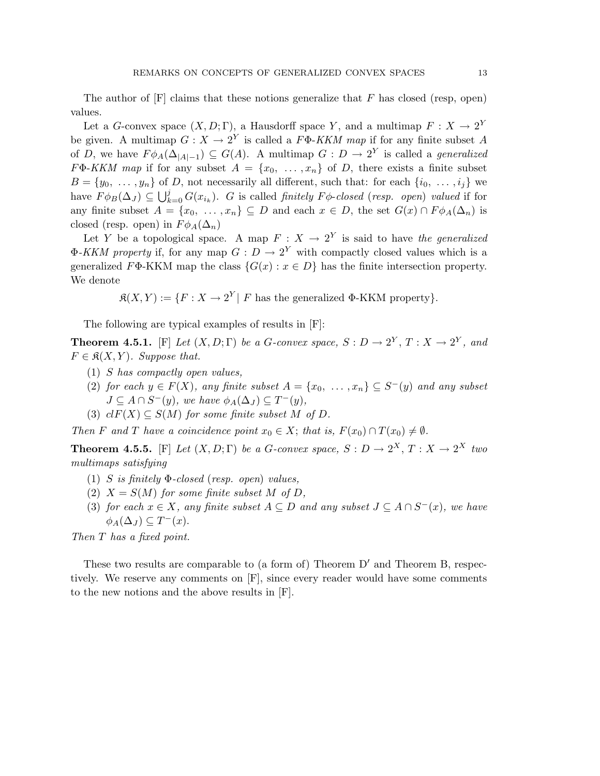The author of  $[F]$  claims that these notions generalize that F has closed (resp, open) values.

Let a G-convex space  $(X, D; \Gamma)$ , a Hausdorff space Y, and a multimap  $F: X \to 2^Y$ be given. A multimap  $G: X \to 2^Y$  is called a  $F\Phi$ -KKM map if for any finite subset A of D, we have  $F \phi_A(\Delta_{|A|-1}) \subseteq G(A)$ . A multimap  $G: D \to 2^Y$  is called a *generalized*  $F\Phi$ -KKM map if for any subset  $A = \{x_0, \ldots, x_n\}$  of D, there exists a finite subset  $B = \{y_0, \ldots, y_n\}$  of D, not necessarily all different, such that: for each  $\{i_0, \ldots, i_j\}$  we  $D = \{y_0, \ldots, y_n\}$  or<br>have  $F \phi_B(\Delta_J) \subseteq \bigcup_k^j$  $\sum_{k=0}^{j} G(x_{i_k})$ . G is called finitely  $F\phi$ -closed (resp. open) valued if for any finite subset  $A = \{x_0, \ldots, x_n\} \subseteq D$  and each  $x \in D$ , the set  $G(x) \cap F\phi_A(\Delta_n)$  is closed (resp. open) in  $F\phi_A(\Delta_n)$ 

Let Y be a topological space. A map  $F: X \to 2^Y$  is said to have the generalized  $\Phi$ -KKM property if, for any map  $G: D \to 2^Y$  with compactly closed values which is a generalized F $\Phi$ -KKM map the class  $\{G(x) : x \in D\}$  has the finite intersection property. We denote

 $\mathfrak{K}(X,Y) := \{F : X \to 2^Y \mid F \text{ has the generalized } \Phi\text{-KKM property}\}.$ 

The following are typical examples of results in [F]:

**Theorem 4.5.1.** [F] Let  $(X, D; \Gamma)$  be a G-convex space,  $S: D \to 2^Y, T: X \to 2^Y,$  and  $F \in \mathfrak{K}(X,Y)$ . Suppose that.

- (1) S has compactly open values,
- (2) for each  $y \in F(X)$ , any finite subset  $A = \{x_0, \ldots, x_n\} \subseteq S^-(y)$  and any subset  $J \subseteq A \cap S^-(y)$ , we have  $\phi_A(\Delta_J) \subseteq T^-(y)$ ,
- (3)  $clF(X) \subseteq S(M)$  for some finite subset M of D.

Then F and T have a coincidence point  $x_0 \in X$ ; that is,  $F(x_0) \cap T(x_0) \neq \emptyset$ .

**Theorem 4.5.5.** [F] Let  $(X, D; \Gamma)$  be a G-convex space,  $S: D \to 2^X, T: X \to 2^X$  two multimaps satisfying

- (1) S is finitely  $\Phi$ -closed (resp. open) values,
- (2)  $X = S(M)$  for some finite subset M of D,
- (3) for each  $x \in X$ , any finite subset  $A \subseteq D$  and any subset  $J \subseteq A \cap S^{-1}(x)$ , we have  $\phi_A(\Delta_J) \subseteq T^-(x)$ .

Then T has a fixed point.

These two results are comparable to (a form of) Theorem  $D'$  and Theorem B, respectively. We reserve any comments on [F], since every reader would have some comments to the new notions and the above results in [F].